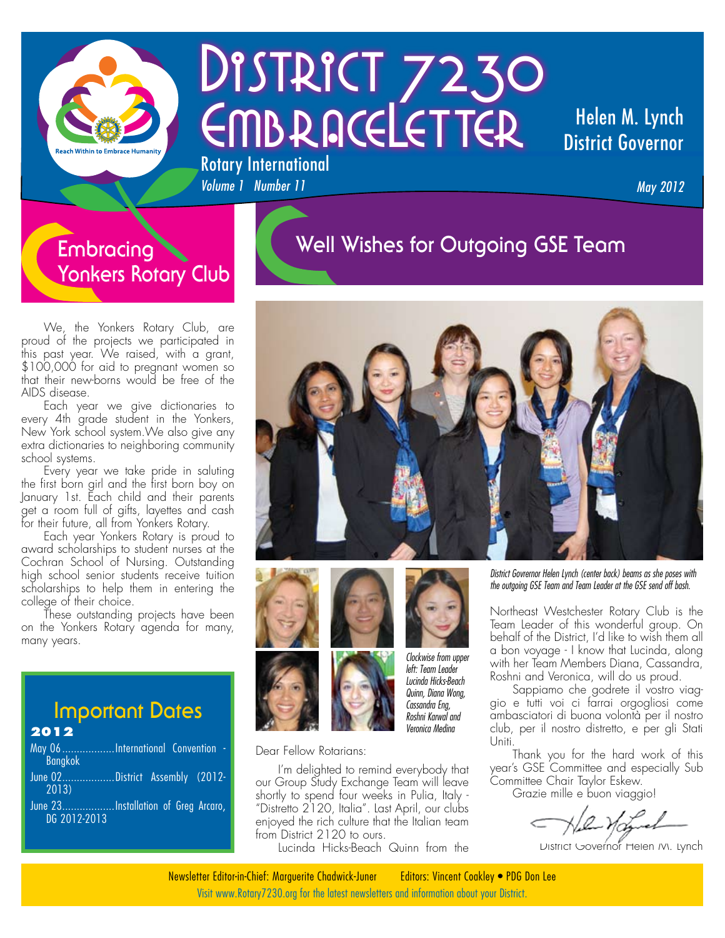

# DISTRICT 7230 EMBRACELETTER Rotary International

#### Helen M. Lynch District Governor

*May 2012*

#### **Embracing Yonkers Rotary Club**

## **Well Wishes for Outgoing GSE Team**

We, the Yonkers Rotary Club, are proud of the projects we participated in this past year. We raised, with a grant, \$100,000 for aid to pregnant women so that their new-borns would be free of the AIDS disease.

Each year we give dictionaries to every 4th grade student in the Yonkers, New York school system.We also give any extra dictionaries to neighboring community school systems.

Every year we take pride in saluting the first born girl and the first born boy on January 1st. Each child and their parents get a room full of gifts, layettes and cash for their future, all from Yonkers Rotary.

Each year Yonkers Rotary is proud to award scholarships to student nurses at the Cochran School of Nursing. Outstanding high school senior students receive tuition scholarships to help them in entering the college of their choice.

These outstanding projects have been on the Yonkers Rotary agenda for many, many years.

# **Important Dates**

#### **2012**

- May 06...................International Convention Bangkok June 02..................District Assembly (2012- 2013)
- June 23..................Installation of Greg Arcaro, DG 2012-2013





*Volume 1 Number 11* 





*Clockwise from upper left: Team Leader Lucinda Hicks-Beach Quinn, Diana Wong, Cassandra Eng, Roshni Karwal and Veronica Medina*

Dear Fellow Rotarians:

I'm delighted to remind everybody that our Group Study Exchange Team will leave shortly to spend four weeks in Pulia, Italy - "Distretto 2120, Italia". Last April, our clubs enjoyed the rich culture that the Italian team from District 2120 to ours.

Lucinda Hicks-Beach Quinn from the

*District Govrernor Helen Lynch (center back) beams as she poses with the outgoing GSE Team and Team Leader at the GSE send off bash.*

Northeast Westchester Rotary Club is the Team Leader of this wonderful group. On behalf of the District, I'd like to wish them all a bon voyage - I know that Lucinda, along with her Team Members Diana, Cassandra, Roshni and Veronica, will do us proud.

Sappiamo che godrete il vostro viaggio e tutti voi ci farrai orgogliosi come ambasciatori di buona volontà per il nostro club, per il nostro distretto, e per gli Stati Uniti.

Thank you for the hard work of this year's GSE Committee and especially Sub Committee Chair Taylor Eskew.

Grazie mille e buon viaggio!

District Governor Helen M. Lynch

Visit www.Rotary7230.org for the latest newsletters and information about your District. Newsletter Editor-in-Chief: Marguerite Chadwick-Juner Editors: Vincent Coakley • PDG Don Lee